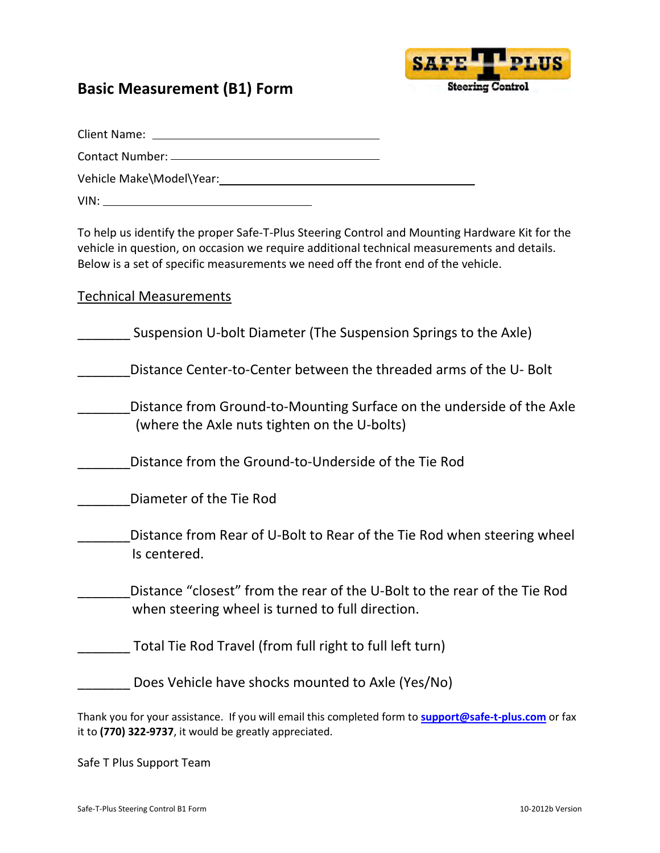## Basic Measurement (B1) Form



Client Name:

Contact Number:

Vehicle Make\Model\Year:

VIN:

To help us identify the proper Safe-T-Plus Steering Control and Mounting Hardware Kit for the vehicle in question, on occasion we require additional technical measurements and details. Below is a set of specific measurements we need off the front end of the vehicle.

| <b>Technical Measurements</b>                                                                                                 |
|-------------------------------------------------------------------------------------------------------------------------------|
| Suspension U-bolt Diameter (The Suspension Springs to the Axle)                                                               |
| Distance Center-to-Center between the threaded arms of the U-Bolt                                                             |
| Distance from Ground-to-Mounting Surface on the underside of the Axle<br>(where the Axle nuts tighten on the U-bolts)         |
| Distance from the Ground-to-Underside of the Tie Rod                                                                          |
| Diameter of the Tie Rod                                                                                                       |
| Distance from Rear of U-Bolt to Rear of the Tie Rod when steering wheel<br>Is centered.                                       |
| Distance "closest" from the rear of the U-Bolt to the rear of the Tie Rod<br>when steering wheel is turned to full direction. |
| Total Tie Rod Travel (from full right to full left turn)                                                                      |
| Does Vehicle have shocks mounted to Axle (Yes/No)                                                                             |
|                                                                                                                               |

Thank you for your assistance. If you will email this completed form to **support@safe-t-plus.com** or fax it to (770) 322-9737, it would be greatly appreciated.

Safe T Plus Support Team